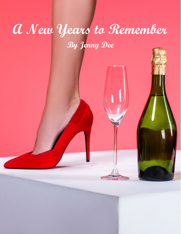## **A New Years to Remember By Jenny Dee**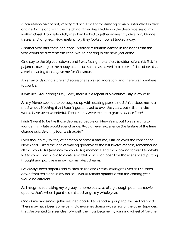A brand-new pair of hot, velvety red heels meant for dancing remain untouched in their original box, along with the matching slinky dress hidden in the deep recesses of my walk-in closet. How splendidly they had looked together against my olive skin, blonde tresses and long legs. How melancholy they looked now all tucked away.

Another year had come and gone. Another resolution wasted in the hopes that this year would be different; this year I would not ring in the new year alone.

One day to the big countdown, and I was facing the endless tradition of a chick flick in pajamas, toasting to the happy couple on screen as I dived into a box of chocolates that a well-meaning friend gave me for Christmas.

An array of dazzling attire and accessories awaited adoration, and there was nowhere to sparkle.

It was like Groundhog's Day—well, more like a repeat of Valentines Day in my case.

All my friends seemed to be coupled up with exciting plans that didn't include me as a third wheel. Nothing that I hadn't gotten used to over the years, but still: an invite would have been wonderful. Those shoes were meant to grace a dance floor!

I didn't want to be like those depressed people on New Years, but I was starting to wonder if my fate would ever change. Would I ever experience the fanfare of the time change outside of my four walls again?

Even though my solitary celebration became a pastime, I still enjoyed the concept of New Years. I liked the idea of waving goodbye to the last twelve months, remembering all the wonderful (and not-so-wonderful) moments, and then looking forward to what's yet to come. I even love to create a wistful new vision board for the year ahead, putting thought and positive energy into my latest dreams.

I've always been hopeful and excited as the clock struck midnight. Even as I counted down from ten alone in my house, I would remain optimistic that this coming year would be different.

As I resigned to making my big stay-at-home plans, scrolling though potential movie options, that's when I got the call that change my whole year.

One of my rare single girlfriends had decided to cancel a group trip she had planned. There may have been some behind-the-scenes drama with a few of the other trip-goers that she wanted to steer clear of—well, their loss became my winning wheel of fortune!